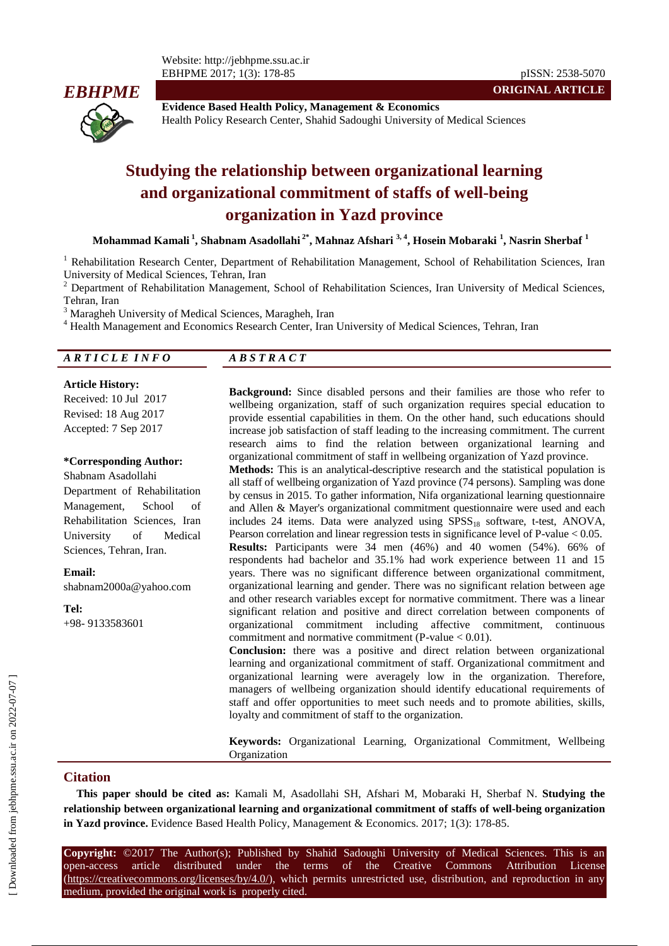

**Evidence Based Health Policy, Management & Economics** Health Policy Research Center, Shahid Sadoughi University of Medical Sciences

# **Studying the relationship between organizational learning and organizational commitment of staffs of well-being organization in Yazd province**

**Mohammad Kamali <sup>1</sup> , Shabnam Asadollahi 2\* , Mahnaz Afshari 3, 4 , Hosein Mobaraki <sup>1</sup> , Nasrin Sherbaf <sup>1</sup>**

<sup>1</sup> Rehabilitation Research Center, Department of Rehabilitation Management, School of Rehabilitation Sciences, Iran University of Medical Sciences, Tehran, Iran

<sup>2</sup> Department of Rehabilitation Management, School of Rehabilitation Sciences, Iran University of Medical Sciences, Tehran, Iran

<sup>3</sup> Maragheh University of Medical Sciences, Maragheh, Iran

<sup>4</sup> Health Management and Economics Research Center, Iran University of Medical Sciences, Tehran, Iran

| ARTICLE INFO | $\overline{A}$ $\overline{B}$ $\overline{S}$ $\overline{T}$ $\overline{R}$ $\overline{A}$ $\overline{C}$ $\overline{T}$ |
|--------------|-------------------------------------------------------------------------------------------------------------------------|
|              |                                                                                                                         |

#### **Article History:**

Received: 10 Jul 2017 Revised: 18 Aug 2017

Accepted: 7 Sep 2017

#### **\*Corresponding Author:**

Shabnam Asadollahi Department of Rehabilitation Management, School of Rehabilitation Sciences, Iran University of Medical Sciences, Tehran, Iran.

**Email:**

shabnam2000a@yahoo.com

**Tel:** +98- 9133583601

**Background:** Since disabled persons and their families are those who refer to wellbeing organization, staff of such organization requires special education to provide essential capabilities in them. On the other hand, such educations should increase job satisfaction of staff leading to the increasing commitment. The current research aims to find the relation between organizational learning and organizational commitment of staff in wellbeing organization of Yazd province.

**ORIGINAL ARTICLE**

**Methods:** This is an analytical-descriptive research and the statistical population is all staff of wellbeing organization of Yazd province (74 persons). Sampling was done by census in 2015. To gather information, Nifa organizational learning questionnaire and Allen & Mayer's organizational commitment questionnaire were used and each includes 24 items. Data were analyzed using  $SPSS_{18}$  software, t-test, ANOVA, Pearson correlation and linear regression tests in significance level of P-value < 0.05. **Results:** Participants were 34 men (46%) and 40 women (54%). 66% of respondents had bachelor and 35.1% had work experience between 11 and 15 years. There was no significant difference between organizational commitment, organizational learning and gender. There was no significant relation between age and other research variables except for normative commitment. There was a linear significant relation and positive and direct correlation between components of organizational commitment including affective commitment, continuous commitment and normative commitment (P-value  $< 0.01$ ).

**Conclusion:** there was a positive and direct relation between organizational learning and organizational commitment of staff. Organizational commitment and organizational learning were averagely low in the organization. Therefore, managers of wellbeing organization should identify educational requirements of staff and offer opportunities to meet such needs and to promote abilities, skills, loyalty and commitment of staff to the organization.

**Keywords:** Organizational Learning, Organizational Commitment, Wellbeing Organization

## **Citation**

**This paper should be cited as:** Kamali M, Asadollahi SH, Afshari M, Mobaraki H, Sherbaf N. **Studying the relationship between organizational learning and organizational commitment of staffs of well-being organization in Yazd province.** Evidence Based Health Policy, Management & Economics. 2017; 1(3): 178-85.

**Copyright:** ©2017 The Author(s); Published by Shahid Sadoughi University of Medical Sciences. This is an open-access article distributed under the terms of the Creative Commons Attribution License (https://creativecommons.org/licenses/by/4.0/), which permits unrestricted use, distribution, and reproduction in any medium, provided the original work is properly cited.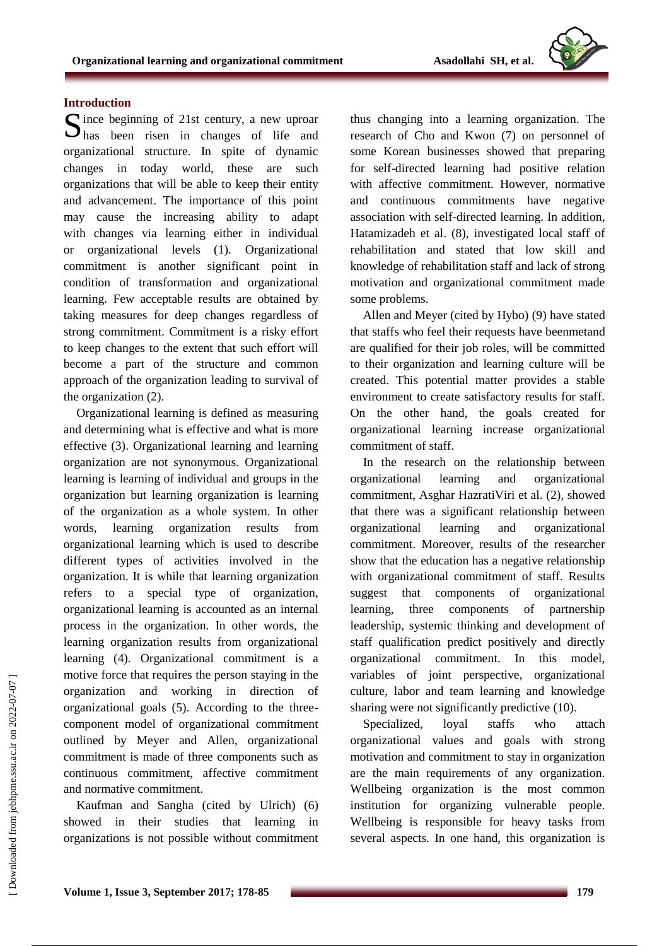## **Introduction**

Since beginning of 21st century, a new uproar<br>
has been risen in changes of life and  $\sum$  has been risen in changes of life and organizational structure. In spite of dynamic changes in today world, these are such organizations that will be able to keep their entity and advancement. The importance of this point may cause the increasing ability to adapt with changes via learning either in individual or organizational levels (1). Organizational commitment is another significant point in condition of transformation and organizational learning. Few acceptable results are obtained by taking measures for deep changes regardless of strong commitment. Commitment is a risky effort to keep changes to the extent that such effort will become a part of the structure and common approach of the organization leading to survival of the organization (2).

Organizational learning is defined as measuring and determining what is effective and what is more effective (3). Organizational learning and learning organization are not synonymous. Organizational learning is learning of individual and groups in the organization but learning organization is learning of the organization as a whole system. In other words, learning organization results from organizational learning which is used to describe different types of activities involved in the organization. It is while that learning organization refers to a special type of organization, organizational learning is accounted as an internal process in the organization. In other words, the learning organization results from organizational learning (4). Organizational commitment is a motive force that requires the person staying in the organization and working in direction of organizational goals (5). According to the threecomponent model of organizational commitment outlined by Meyer and Allen, organizational commitment is made of three components such as continuous commitment, affective commitment and normative commitment.

Kaufman and Sangha (cited by Ulrich) (6) showed in their studies that learning in organizations is not possible without commitment thus changing into a learning organization. The research of Cho and Kwon (7) on personnel of some Korean businesses showed that preparing for self-directed learning had positive relation with affective commitment. However, normative and continuous commitments have negative association with self-directed learning. In addition, Hatamizadeh et al. (8), investigated local staff of rehabilitation and stated that low skill and knowledge of rehabilitation staff and lack of strong motivation and organizational commitment made some problems.

Allen and Meyer (cited by Hybo) (9) have stated that staffs who feel their requests have beenmetand are qualified for their job roles, will be committed to their organization and learning culture will be created. This potential matter provides a stable environment to create satisfactory results for staff. On the other hand, the goals created for organizational learning increase organizational commitment of staff.

In the research on the relationship between organizational learning and organizational commitment, Asghar HazratiViri et al. (2), showed that there was a significant relationship between organizational learning and organizational commitment. Moreover, results of the researcher show that the education has a negative relationship with organizational commitment of staff. Results suggest that components of organizational learning, three components of partnership leadership, systemic thinking and development of staff qualification predict positively and directly organizational commitment. In this model, variables of joint perspective, organizational culture, labor and team learning and knowledge sharing were not significantly predictive (10).

Specialized, loyal staffs who attach organizational values and goals with strong motivation and commitment to stay in organization are the main requirements of any organization. Wellbeing organization is the most common institution for organizing vulnerable people. Wellbeing is responsible for heavy tasks from several aspects. In one hand, this organization is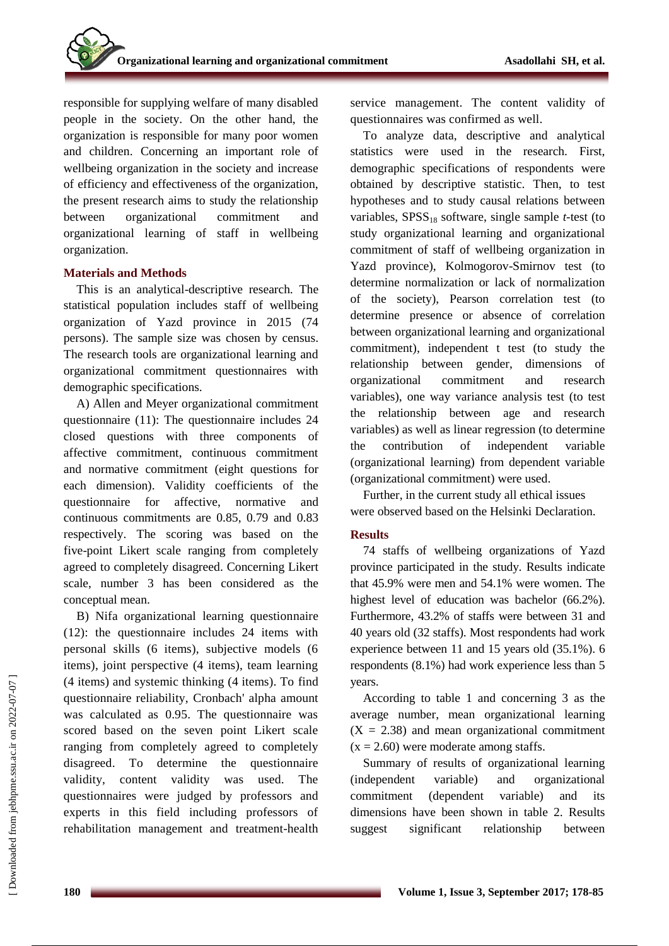responsible for supplying welfare of many disabled people in the society. On the other hand, the organization is responsible for many poor women and children. Concerning an important role of wellbeing organization in the society and increase of efficiency and effectiveness of the organization, the present research aims to study the relationship between organizational commitment and organizational learning of staff in wellbeing organization.

# **Materials and Methods**

This is an analytical-descriptive research. The statistical population includes staff of wellbeing organization of Yazd province in 2015 (74 persons). The sample size was chosen by census. The research tools are organizational learning and organizational commitment questionnaires with demographic specifications.

A) Allen and Meyer organizational commitment questionnaire (11): The questionnaire includes 24 closed questions with three components of affective commitment, continuous commitment and normative commitment (eight questions for each dimension). Validity coefficients of the questionnaire for affective, normative and continuous commitments are 0.85, 0.79 and 0.83 respectively. The scoring was based on the five-point Likert scale ranging from completely agreed to completely disagreed. Concerning Likert scale, number 3 has been considered as the conceptual mean.

B) Nifa organizational learning questionnaire (12): the questionnaire includes 24 items with personal skills (6 items), subjective models (6 items), joint perspective (4 items), team learning (4 items) and systemic thinking (4 items). To find questionnaire reliability, Cronbach' alpha amount was calculated as 0.95. The questionnaire was scored based on the seven point Likert scale ranging from completely agreed to completely disagreed. To determine the questionnaire validity, content validity was used. The questionnaires were judged by professors and experts in this field including professors of rehabilitation management and treatment-health service management. The content validity of questionnaires was confirmed as well.

To analyze data, descriptive and analytical statistics were used in the research. First, demographic specifications of respondents were obtained by descriptive statistic. Then, to test hypotheses and to study causal relations between variables, SPSS<sub>18</sub> software, single sample *t*-test (to study organizational learning and organizational commitment of staff of wellbeing organization in Yazd province), Kolmogorov-Smirnov test (to determine normalization or lack of normalization of the society), Pearson correlation test (to determine presence or absence of correlation between organizational learning and organizational commitment), independent t test (to study the relationship between gender, dimensions of organizational commitment and research variables), one way variance analysis test (to test the relationship between age and research variables) as well as linear regression (to determine the contribution of independent variable (organizational learning) from dependent variable (organizational commitment) were used.

Further, in the current study all ethical issues were observed based on the Helsinki Declaration.

## **Results**

74 staffs of wellbeing organizations of Yazd province participated in the study. Results indicate that 45.9% were men and 54.1% were women. The highest level of education was bachelor (66.2%). Furthermore, 43.2% of staffs were between 31 and 40 years old (32 staffs). Most respondents had work experience between 11 and 15 years old (35.1%). 6 respondents (8.1%) had work experience less than 5 years.

According to table 1 and concerning 3 as the average number, mean organizational learning  $(X = 2.38)$  and mean organizational commitment  $(x = 2.60)$  were moderate among staffs.

Summary of results of organizational learning (independent variable) and organizational commitment (dependent variable) and its dimensions have been shown in table 2. Results suggest significant relationship between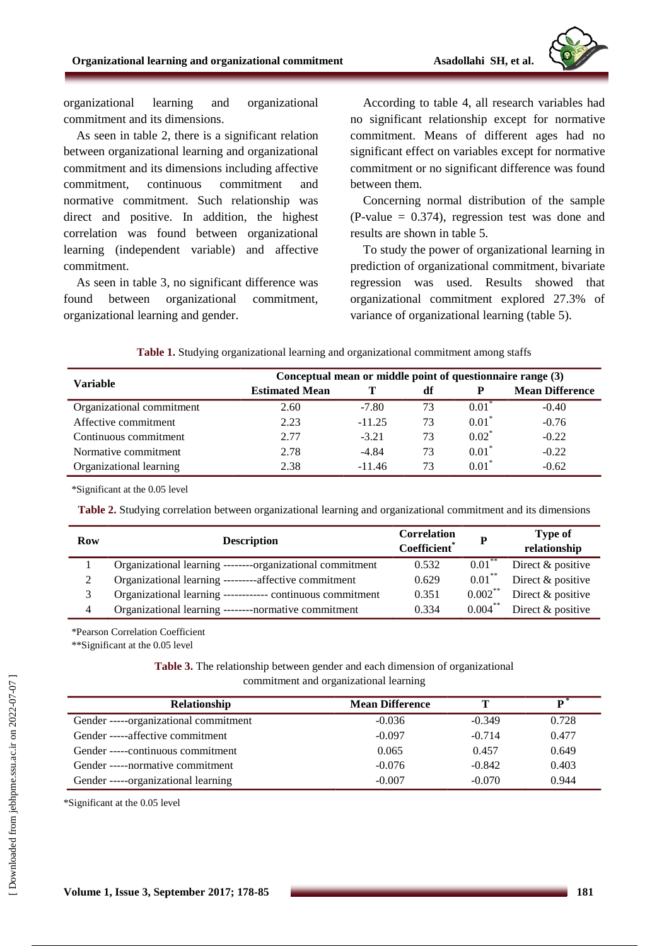

organizational learning and organizational commitment and its dimensions.

As seen in table 2, there is a significant relation between organizational learning and organizational commitment and its dimensions including affective commitment, continuous commitment and normative commitment. Such relationship was direct and positive. In addition, the highest correlation was found between organizational learning (independent variable) and affective commitment.

As seen in table 3, no significant difference was found between organizational commitment, organizational learning and gender.

According to table 4, all research variables had no significant relationship except for normative commitment. Means of different ages had no significant effect on variables except for normative commitment or no significant difference was found between them.

Concerning normal distribution of the sample  $(P-value = 0.374)$ , regression test was done and results are shown in table 5.

To study the power of organizational learning in prediction of organizational commitment, bivariate regression was used. Results showed that organizational commitment explored 27.3% of variance of organizational learning (table 5).

| <b>Variable</b>           | Conceptual mean or middle point of questionnaire range (3) |          |    |          |                        |
|---------------------------|------------------------------------------------------------|----------|----|----------|------------------------|
|                           | <b>Estimated Mean</b>                                      |          | df |          | <b>Mean Difference</b> |
| Organizational commitment | 2.60                                                       | $-7.80$  | 73 | $0.01^*$ | $-0.40$                |
| Affective commitment      | 2.23                                                       | $-11.25$ | 73 | $0.01*$  | $-0.76$                |
| Continuous commitment     | 2.77                                                       | $-3.21$  | 73 | $0.02^*$ | $-0.22$                |
| Normative commitment      | 2.78                                                       | $-4.84$  | 73 | $0.01*$  | $-0.22$                |
| Organizational learning   | 2.38                                                       | $-11.46$ | 73 | $0.01*$  | $-0.62$                |

**Table 1.** Studying organizational learning and organizational commitment among staffs

\*Significant at the 0.05 level

**Table 2.** Studying correlation between organizational learning and organizational commitment and its dimensions

| Row | <b>Description</b>                                         | <b>Correlation</b><br>Coefficient <sup>*</sup> | P          | <b>Type of</b><br>relationship |
|-----|------------------------------------------------------------|------------------------------------------------|------------|--------------------------------|
|     | Organizational learning --------organizational commitment  | 0.532                                          | $0.01***$  | Direct & positive              |
|     | Organizational learning ---------affective commitment      | 0.629                                          | $0.01***$  | Direct & positive              |
|     | Organizational learning ------------ continuous commitment | 0.351                                          | $0.002***$ | Direct $&$ positive            |
| 4   | Organizational learning --------normative commitment       | 0.334                                          |            | $0.004^{**}$ Direct & positive |

\*Pearson Correlation Coefficient

\*\*Significant at the 0.05 level

**Table 3.** The relationship between gender and each dimension of organizational commitment and organizational learning

| <b>Relationship</b>                   | <b>Mean Difference</b> | т        | D *   |
|---------------------------------------|------------------------|----------|-------|
| Gender -----organizational commitment | $-0.036$               | $-0.349$ | 0.728 |
| Gender -----affective commitment      | $-0.097$               | $-0.714$ | 0.477 |
| Gender -----continuous commitment     | 0.065                  | 0.457    | 0.649 |
| Gender -----normative commitment      | $-0.076$               | $-0.842$ | 0.403 |
| Gender -----organizational learning   | $-0.007$               | $-0.070$ | 0.944 |

\*Significant at the 0.05 level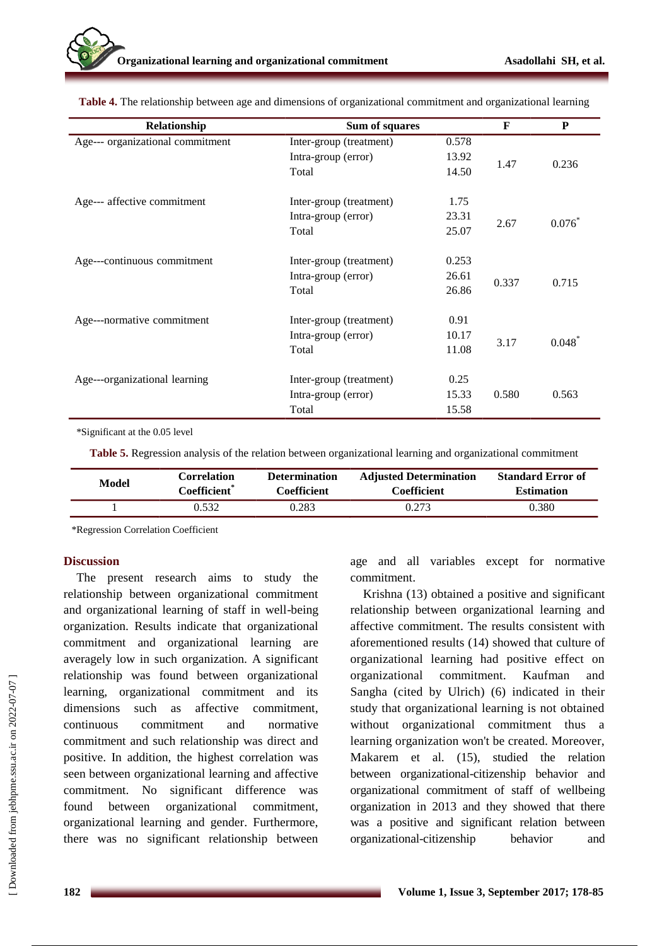| Relationship                     | Sum of squares          |       | F     | P         |
|----------------------------------|-------------------------|-------|-------|-----------|
| Age--- organizational commitment | Inter-group (treatment) | 0.578 |       |           |
|                                  | Intra-group (error)     | 13.92 | 1.47  | 0.236     |
|                                  | Total                   | 14.50 |       |           |
| Age--- affective commitment      | Inter-group (treatment) | 1.75  |       |           |
|                                  | Intra-group (error)     | 23.31 |       | $0.076*$  |
|                                  | Total                   | 25.07 | 2.67  |           |
| Age---continuous commitment      | Inter-group (treatment) | 0.253 |       |           |
|                                  | Intra-group (error)     | 26.61 | 0.337 | 0.715     |
|                                  | Total                   | 26.86 |       |           |
| Age---normative commitment       | Inter-group (treatment) | 0.91  |       |           |
|                                  | Intra-group (error)     | 10.17 | 3.17  | $0.048^*$ |
|                                  | Total                   | 11.08 |       |           |
| Age---organizational learning    | Inter-group (treatment) | 0.25  |       |           |
|                                  | Intra-group (error)     | 15.33 | 0.580 | 0.563     |
|                                  | Total                   | 15.58 |       |           |

**Table 4.** The relationship between age and dimensions of organizational commitment and organizational learning

\*Significant at the 0.05 level

**Table 5.** Regression analysis of the relation between organizational learning and organizational commitment

| <b>Model</b> | Correlation  | <b>Determination</b> | <b>Adjusted Determination</b> | <b>Standard Error of</b> |
|--------------|--------------|----------------------|-------------------------------|--------------------------|
|              | Coefficient® | Coefficient          | Coefficient                   | <b>Estimation</b>        |
|              | ).532        | 0.283                | 0.273                         | 0.380                    |

\*Regression Correlation Coefficient

## **Discussion**

The present research aims to study the relationship between organizational commitment and organizational learning of staff in well-being organization. Results indicate that organizational commitment and organizational learning are averagely low in such organization. A significant relationship was found between organizational learning, organizational commitment and its dimensions such as affective commitment, continuous commitment and normative commitment and such relationship was direct and positive. In addition, the highest correlation was seen between organizational learning and affective commitment. No significant difference was found between organizational commitment, organizational learning and gender. Furthermore, there was no significant relationship between age and all variables except for normative commitment.

Krishna (13) obtained a positive and significant relationship between organizational learning and affective commitment. The results consistent with aforementioned results (14) showed that culture of organizational learning had positive effect on organizational commitment. Kaufman and Sangha (cited by Ulrich) (6) indicated in their study that organizational learning is not obtained without organizational commitment thus a learning organization won't be created. Moreover, Makarem et al. (15), studied the relation between organizational-citizenship behavior and organizational commitment of staff of wellbeing organization in 2013 and they showed that there was a positive and significant relation between organizational-citizenship behavior and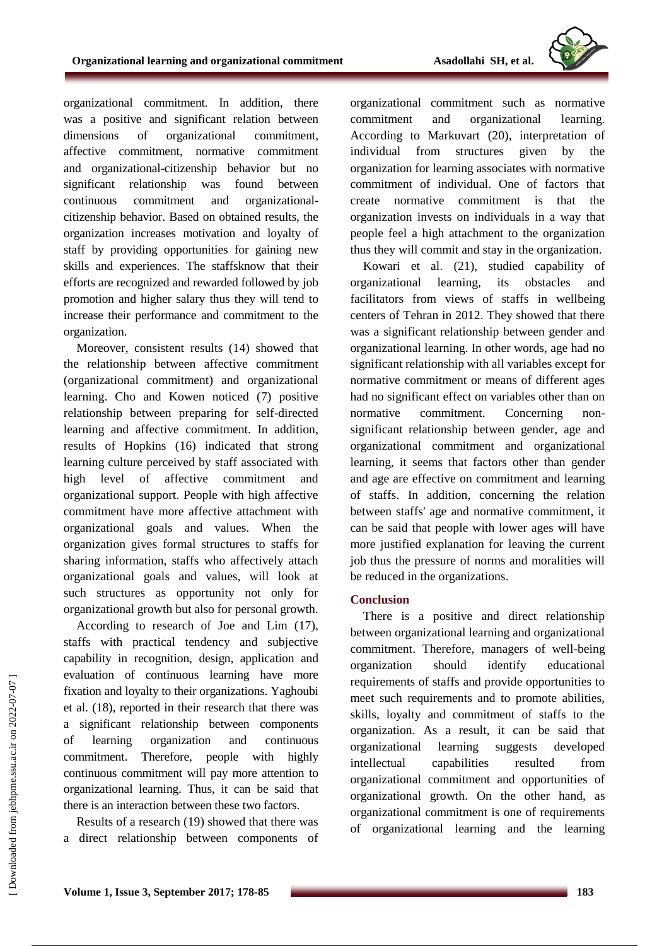

organizational commitment. In addition, there was a positive and significant relation between dimensions of organizational commitment, affective commitment, normative commitment and organizational-citizenship behavior but no significant relationship was found between continuous commitment and organizationalcitizenship behavior. Based on obtained results, the organization increases motivation and loyalty of staff by providing opportunities for gaining new skills and experiences. The staffsknow that their efforts are recognized and rewarded followed by job promotion and higher salary thus they will tend to increase their performance and commitment to the organization.

Moreover, consistent results (14) showed that the relationship between affective commitment (organizational commitment) and organizational learning. Cho and Kowen noticed (7) positive relationship between preparing for self-directed learning and affective commitment. In addition, results of Hopkins (16) indicated that strong learning culture perceived by staff associated with high level of affective commitment and organizational support. People with high affective commitment have more affective attachment with organizational goals and values. When the organization gives formal structures to staffs for sharing information, staffs who affectively attach organizational goals and values, will look at such structures as opportunity not only for organizational growth but also for personal growth.

According to research of Joe and Lim (17), staffs with practical tendency and subjective capability in recognition, design, application and evaluation of continuous learning have more fixation and loyalty to their organizations. Yaghoubi et al. (18), reported in their research that there was a significant relationship between components of learning organization and continuous commitment. Therefore, people with highly continuous commitment will pay more attention to organizational learning. Thus, it can be said that there is an interaction between these two factors.

Results of a research (19) showed that there was a direct relationship between components of organizational commitment such as normative commitment and organizational learning. According to Markuvart (20), interpretation of individual from structures given by the organization for learning associates with normative commitment of individual. One of factors that create normative commitment is that the organization invests on individuals in a way that people feel a high attachment to the organization thus they will commit and stay in the organization.

Kowari et al. (21), studied capability of organizational learning, its obstacles and facilitators from views of staffs in wellbeing centers of Tehran in 2012. They showed that there was a significant relationship between gender and organizational learning. In other words, age had no significant relationship with all variables except for normative commitment or means of different ages had no significant effect on variables other than on normative commitment. Concerning nonsignificant relationship between gender, age and organizational commitment and organizational learning, it seems that factors other than gender and age are effective on commitment and learning of staffs. In addition, concerning the relation between staffs' age and normative commitment, it can be said that people with lower ages will have more justified explanation for leaving the current job thus the pressure of norms and moralities will be reduced in the organizations.

## **Conclusion**

There is a positive and direct relationship between organizational learning and organizational commitment. Therefore, managers of well-being organization should identify educational requirements of staffs and provide opportunities to meet such requirements and to promote abilities, skills, loyalty and commitment of staffs to the organization. As a result, it can be said that organizational learning suggests developed intellectual capabilities resulted from organizational commitment and opportunities of organizational growth. On the other hand, as organizational commitment is one of requirements of organizational learning and the learning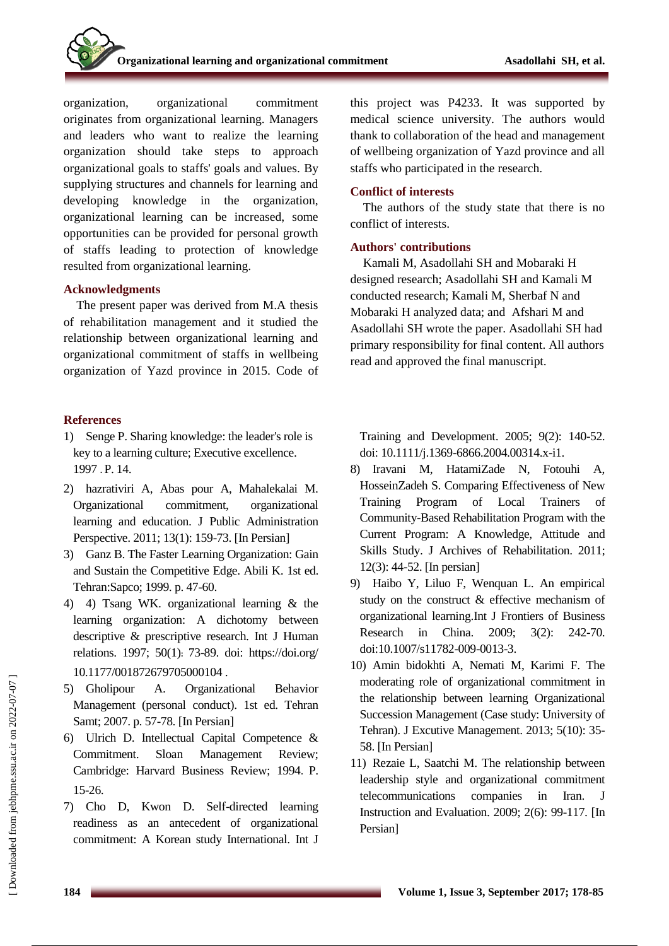organization, organizational commitment originates from organizational learning. Managers and leaders who want to realize the learning organization should take steps to approach organizational goals to staffs' goals and values. By supplying structures and channels for learning and developing knowledge in the organization, organizational learning can be increased, some opportunities can be provided for personal growth of staffs leading to protection of knowledge resulted from organizational learning.

## **Acknowledgments**

The present paper was derived from M.A thesis of rehabilitation management and it studied the relationship between organizational learning and organizational commitment of staffs in wellbeing organization of Yazd province in 2015. Code of

# **References**

- 1) Senge P. Sharing knowledge: the leader's role is key to a learning culture; Executive excellence. 1997 . P. 14.
- 2) hazrativiri A, Abas pour A, Mahalekalai M. Organizational commitment, organizational learning and education. J Public Administration Perspective. 2011; 13(1): 159-73. [In Persian]
- 3) Ganz B. The Faster Learning Organization: Gain and Sustain the Competitive Edge. Abili K. 1st ed. Tehran:Sapco; 1999. p. 47-60.
- 4) 4) Tsang WK. organizational learning & the learning organization: A dichotomy between descriptive & prescriptive research. Int J Human relations. 1997; 50(1): 73-89. doi: [https://doi.org/](https://doi.org/%2010.1177/001872679705000104)  [10.1177/001872679705000104](https://doi.org/%2010.1177/001872679705000104) .
- 5) Gholipour A. Organizational Behavior Management (personal conduct). 1st ed. Tehran Samt; 2007. p. 57-78. [In Persian]
- 6) Ulrich D. Intellectual Capital Competence & Commitment. Sloan Management Review; Cambridge: Harvard Business Review; 1994. P. 15-26.
- 7) Cho D, Kwon D. Self-directed learning readiness as an antecedent of organizational commitment: A Korean study International. Int J

this project was P4233. It was supported by medical science university. The authors would thank to collaboration of the head and management of wellbeing organization of Yazd province and all staffs who participated in the research.

# **Conflict of interests**

The authors of the study state that there is no conflict of interests.

# **Authors' contributions**

Kamali M, Asadollahi SH and Mobaraki H designed research; Asadollahi SH and Kamali M conducted research; Kamali M, Sherbaf N and Mobaraki H analyzed data; and Afshari M and Asadollahi SH wrote the paper. Asadollahi SH had primary responsibility for final content. All authors read and approved the final manuscript.

Training and Development. 2005; 9(2): 140-52. doi: 10.1111/j.1369-6866.2004.00314.x-i1.

- 8) Iravani M, HatamiZade N, Fotouhi A, HosseinZadeh S. Comparing Effectiveness of New Training Program of Local Trainers Community-Based Rehabilitation Program with the Current Program: A Knowledge, Attitude and Skills Study. J Archives of Rehabilitation. 2011; 12(3): 44-52. [In persian]
- 9) Haibo Y, Liluo F, Wenquan L. An empirical study on the construct & effective mechanism of organizational learning.Int J [Frontiers of Business](https://link.springer.com/journal/11782)  [Research in China.](https://link.springer.com/journal/11782) 2009; 3(2): 242-70. doi:10.1007/s11782-009-0013-3.
- 10) Amin bidokhti A, Nemati M, Karimi F. The moderating role of organizational commitment in the relationship between learning Organizational Succession Management (Case study: University of Tehran). J Excutive Management. 2013; 5(10): 35- 58. [In Persian]
- 11) Rezaie L, Saatchi M. The relationship between leadership style and organizational commitment telecommunications companies in Iran. J Instruction and Evaluation. 2009; 2(6): 99-117. [In Persian]